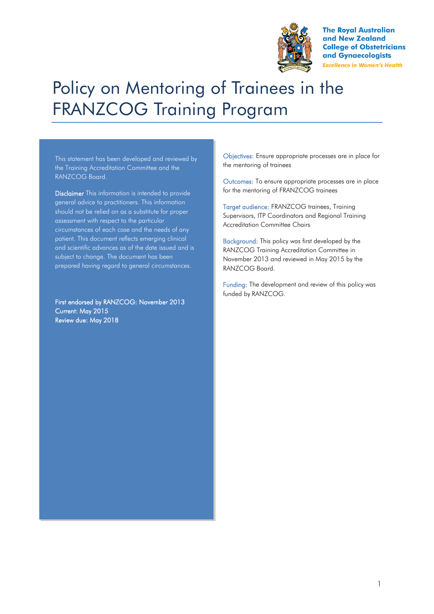

**The Royal Australian** and New Zealand **College of Obstetricians** and Gynaecologists **Excellence in Women's Health** 

# Policy on Mentoring of Trainees in the FRANZCOG Training Program

This statement has been developed and reviewed by the Training Accreditation Committee and the RANZCOG Board.

Disclaimer This information is intended to provide general advice to practitioners. This information should not be relied on as a substitute for proper assessment with respect to the particular circumstances of each case and the needs of any patient. This document reflects emerging clinical and scientific advances as of the date issued and is subject to change. The document has been prepared having regard to general circumstances.

First endorsed by RANZCOG: November 2013 Current: May 2015 Review due: May 2018

Objectives: Ensure appropriate processes are in place for the mentoring of trainees

Outcomes: To ensure appropriate processes are in place for the mentoring of FRANZCOG trainees

Target audience: FRANZCOG trainees, Training Supervisors, ITP Coordinators and Regional Training Accreditation Committee Chairs

Background: This policy was first developed by the RANZCOG Training Accreditation Committee in November 2013 and reviewed in May 2015 by the RANZCOG Board.

Funding: The development and review of this policy was funded by RANZCOG.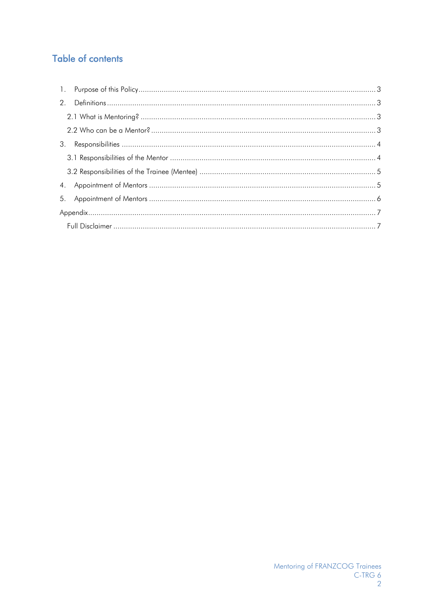# Table of contents

| 2. |  |  |
|----|--|--|
|    |  |  |
|    |  |  |
| 3. |  |  |
|    |  |  |
|    |  |  |
| 4. |  |  |
| 5. |  |  |
|    |  |  |
|    |  |  |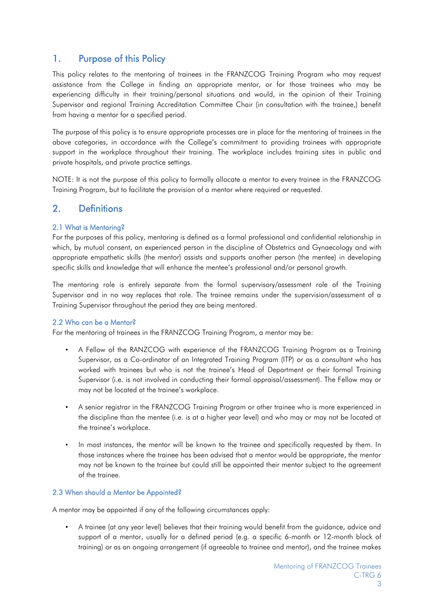## <span id="page-2-0"></span>1. Purpose of this Policy

This policy relates to the mentoring of trainees in the FRANZCOG Training Program who may request assistance from the College in finding an appropriate mentor, or for those trainees who may be experiencing difficulty in their training/personal situations and would, in the opinion of their Training Supervisor and regional Training Accreditation Committee Chair (in consultation with the trainee,) benefit from having a mentor for a specified period.

The purpose of this policy is to ensure appropriate processes are in place for the mentoring of trainees in the above categories, in accordance with the College's commitment to providing trainees with appropriate support in the workplace throughout their training. The workplace includes training sites in public and private hospitals, and private practice settings.

NOTE: It is not the purpose of this policy to formally allocate a mentor to every trainee in the FRANZCOG Training Program, but to facilitate the provision of a mentor where required or requested.

## <span id="page-2-1"></span>2. Definitions

#### <span id="page-2-2"></span>2.1 What is Mentoring?

For the purposes of this policy, mentoring is defined as a formal professional and confidential relationship in which, by mutual consent, an experienced person in the discipline of Obstetrics and Gynaecology and with appropriate empathetic skills (the mentor) assists and supports another person (the mentee) in developing specific skills and knowledge that will enhance the mentee's professional and/or personal growth.

The mentoring role is entirely separate from the formal supervisory/assessment role of the Training Supervisor and in no way replaces that role. The trainee remains under the supervision/assessment of a Training Supervisor throughout the period they are being mentored.

#### <span id="page-2-3"></span>2.2 Who can be a Mentor?

For the mentoring of trainees in the FRANZCOG Training Program, a mentor may be:

- A Fellow of the RANZCOG with experience of the FRANZCOG Training Program as a Training Supervisor, as a Co-ordinator of an Integrated Training Program (ITP) or as a consultant who has worked with trainees but who is not the trainee's Head of Department or their formal Training Supervisor (i.e. is not involved in conducting their formal appraisal/assessment). The Fellow may or may not be located at the trainee's workplace.
- A senior registrar in the FRANZCOG Training Program or other trainee who is more experienced in the discipline than the mentee (i.e. is at a higher year level) and who may or may not be located at the trainee's workplace.
- In most instances, the mentor will be known to the trainee and specifically requested by them. In those instances where the trainee has been advised that a mentor would be appropriate, the mentor may not be known to the trainee but could still be appointed their mentor subject to the agreement of the trainee.

#### 2.3 When should a Mentor be Appointed?

A mentor may be appointed if any of the following circumstances apply:

• A trainee (at any year level) believes that their training would benefit from the guidance, advice and support of a mentor, usually for a defined period (e.g. a specific 6-month or 12-month block of training) or as an ongoing arrangement (if agreeable to trainee and mentor), and the trainee makes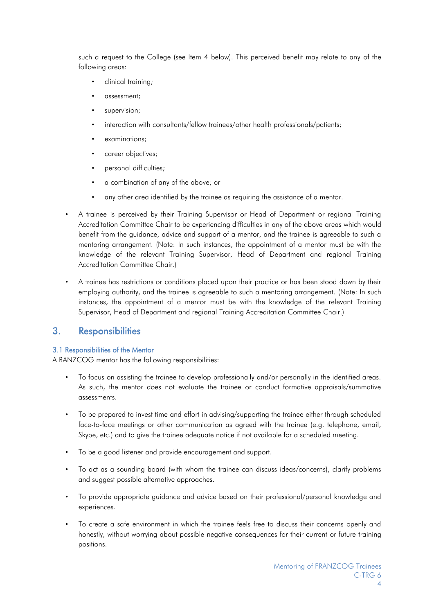such a request to the College (see Item 4 below). This perceived benefit may relate to any of the following areas:

- clinical training;
- assessment;
- supervision:
- interaction with consultants/fellow trainees/other health professionals/patients;
- examinations;
- career objectives;
- personal difficulties;
- a combination of any of the above; or
- any other area identified by the trainee as requiring the assistance of a mentor.
- A trainee is perceived by their Training Supervisor or Head of Department or regional Training Accreditation Committee Chair to be experiencing difficulties in any of the above areas which would benefit from the guidance, advice and support of a mentor, and the trainee is agreeable to such a mentoring arrangement. (Note: In such instances, the appointment of a mentor must be with the knowledge of the relevant Training Supervisor, Head of Department and regional Training Accreditation Committee Chair.)
- A trainee has restrictions or conditions placed upon their practice or has been stood down by their employing authority, and the trainee is agreeable to such a mentoring arrangement. (Note: In such instances, the appointment of a mentor must be with the knowledge of the relevant Training Supervisor, Head of Department and regional Training Accreditation Committee Chair.)

### <span id="page-3-0"></span>3. Responsibilities

#### <span id="page-3-1"></span>3.1 Responsibilities of the Mentor

A RANZCOG mentor has the following responsibilities:

- To focus on assisting the trainee to develop professionally and/or personally in the identified areas. As such, the mentor does not evaluate the trainee or conduct formative appraisals/summative assessments.
- To be prepared to invest time and effort in advising/supporting the trainee either through scheduled face-to-face meetings or other communication as agreed with the trainee (e.g. telephone, email, Skype, etc.) and to give the trainee adequate notice if not available for a scheduled meeting.
- To be a good listener and provide encouragement and support.
- To act as a sounding board (with whom the trainee can discuss ideas/concerns), clarify problems and suggest possible alternative approaches.
- To provide appropriate guidance and advice based on their professional/personal knowledge and experiences.
- To create a safe environment in which the trainee feels free to discuss their concerns openly and honestly, without worrying about possible negative consequences for their current or future training positions.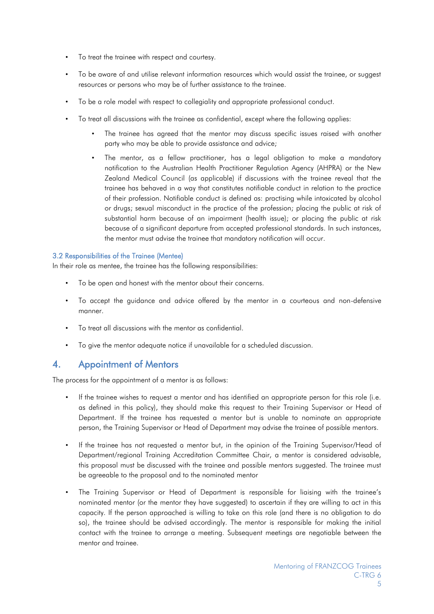- To treat the trainee with respect and courtesy.
- To be aware of and utilise relevant information resources which would assist the trainee, or suggest resources or persons who may be of further assistance to the trainee.
- To be a role model with respect to collegiality and appropriate professional conduct.
- To treat all discussions with the trainee as confidential, except where the following applies:
	- The trainee has agreed that the mentor may discuss specific issues raised with another party who may be able to provide assistance and advice;
	- The mentor, as a fellow practitioner, has a legal obligation to make a mandatory notification to the Australian Health Practitioner Regulation Agency (AHPRA) or the New Zealand Medical Council (as applicable) if discussions with the trainee reveal that the trainee has behaved in a way that constitutes notifiable conduct in relation to the practice of their profession. Notifiable conduct is defined as: practising while intoxicated by alcohol or drugs; sexual misconduct in the practice of the profession; placing the public at risk of substantial harm because of an impairment (health issue); or placing the public at risk because of a significant departure from accepted professional standards. In such instances, the mentor must advise the trainee that mandatory notification will occur.

#### <span id="page-4-0"></span>3.2 Responsibilities of the Trainee (Mentee)

In their role as mentee, the trainee has the following responsibilities:

- To be open and honest with the mentor about their concerns.
- To accept the guidance and advice offered by the mentor in a courteous and non-defensive manner.
- To treat all discussions with the mentor as confidential.
- To give the mentor adequate notice if unavailable for a scheduled discussion.

## <span id="page-4-1"></span>4. Appointment of Mentors

The process for the appointment of a mentor is as follows:

- If the trainee wishes to request a mentor and has identified an appropriate person for this role (i.e. as defined in this policy), they should make this request to their Training Supervisor or Head of Department. If the trainee has requested a mentor but is unable to nominate an appropriate person, the Training Supervisor or Head of Department may advise the trainee of possible mentors.
- If the trainee has not requested a mentor but, in the opinion of the Training Supervisor/Head of Department/regional Training Accreditation Committee Chair, a mentor is considered advisable, this proposal must be discussed with the trainee and possible mentors suggested. The trainee must be agreeable to the proposal and to the nominated mentor
- The Training Supervisor or Head of Department is responsible for liaising with the trainee's nominated mentor (or the mentor they have suggested) to ascertain if they are willing to act in this capacity. If the person approached is willing to take on this role (and there is no obligation to do so), the trainee should be advised accordingly. The mentor is responsible for making the initial contact with the trainee to arrange a meeting. Subsequent meetings are negotiable between the mentor and trainee.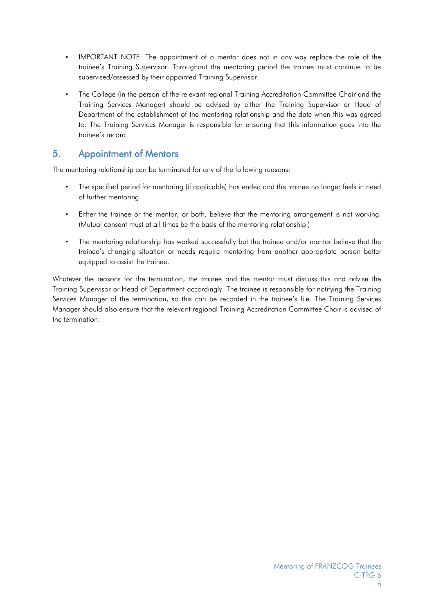- IMPORTANT NOTE: The appointment of a mentor does not in any way replace the role of the trainee's Training Supervisor. Throughout the mentoring period the trainee must continue to be supervised/assessed by their appointed Training Supervisor.
- The College (in the person of the relevant regional Training Accreditation Committee Chair and the Training Services Manager) should be advised by either the Training Supervisor or Head of Department of the establishment of the mentoring relationship and the date when this was agreed to. The Training Services Manager is responsible for ensuring that this information goes into the trainee's record.

## <span id="page-5-0"></span>5. Appointment of Mentors

The mentoring relationship can be terminated for any of the following reasons:

- The specified period for mentoring (if applicable) has ended and the trainee no longer feels in need of further mentoring.
- Either the trainee or the mentor, or both, believe that the mentoring arrangement is not working. (Mutual consent must at all times be the basis of the mentoring relationship.)
- The mentoring relationship has worked successfully but the trainee and/or mentor believe that the trainee's changing situation or needs require mentoring from another appropriate person better equipped to assist the trainee.

Whatever the reasons for the termination, the trainee and the mentor must discuss this and advise the Training Supervisor or Head of Department accordingly. The trainee is responsible for notifying the Training Services Manager of the termination, so this can be recorded in the trainee's file. The Training Services Manager should also ensure that the relevant regional Training Accreditation Committee Chair is advised of the termination.